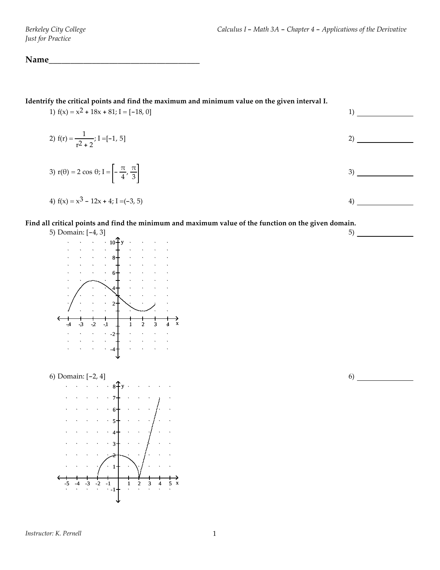# Name

**Identrify the critical points and find the maximum and minimum value on the given interval I.**

1)  $f(x) = x^2 + 18x + 81; I = [-18, 0]$  1) 2)  $f(r) = \frac{1}{2}$  $\frac{1}{r^2 + 2}$ ; I =[-1, 5] 2) 3)  $r(\theta) = 2 \cos \theta; I = -\frac{\pi}{4}, \frac{\pi}{3}$  $\frac{3}{3}$  3)

4) 
$$
f(x) = x^3 - 12x + 4
$$
; I = (-3, 5)

#### Find all critical points and find the minimum and maximum value of the function on the given domain.

5) Domain: [-4, 3]  $-4$   $-3$   $-2$   $-1$  1 2 3 4 x  $10<sup>2</sup>$  y 8 6 4  $\begin{array}{cc} \cdot & 2 \end{array}$  $-2$ -4



6)

 $5)$   $\qquad$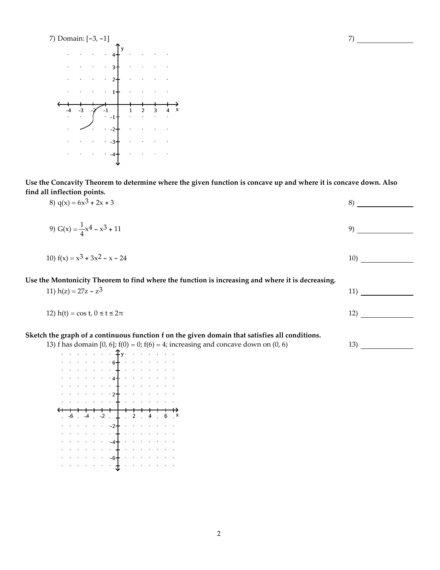

Use the Concavity Theorem to determine where the given function is concave up and where it is concave down. Also **find all inflection points.**

7)

| 8) $q(x) = 6x^3 + 2x + 3$                                                                                                                                                                  | 8)  |
|--------------------------------------------------------------------------------------------------------------------------------------------------------------------------------------------|-----|
| 9) G(x) = $\frac{1}{4}x^4 - x^3 + 11$                                                                                                                                                      | 9)  |
| 10) $f(x) = x^3 + 3x^2 - x - 24$                                                                                                                                                           | 10) |
| Use the Montonicity Theorem to find where the function is increasing and where it is decreasing.<br>11) $h(z) = 27z - z^3$                                                                 | 11) |
| 12) h(t) = cos t, $0 \le t \le 2\pi$                                                                                                                                                       | 12) |
| Sketch the graph of a continuous function f on the given domain that satisfies all conditions.<br>13) f has domain [0, 6]; $f(0) = 0$ ; $f(6) = 4$ ; increasing and concave down on (0, 6) | 13) |



2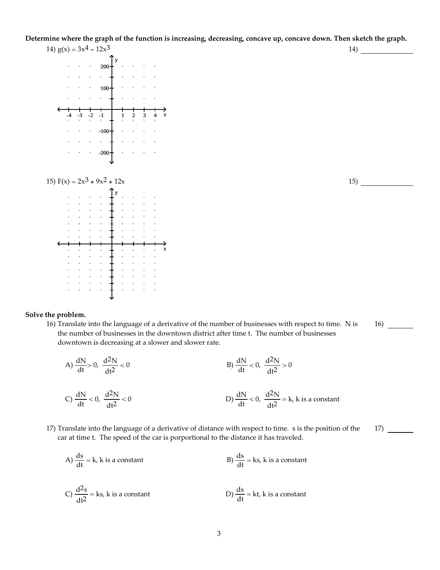Determine where the graph of the function is increasing, decreasing, concave up, concave down. Then sketch the graph.



**Solve the problem.**

16) Translate into the language of a derivative of the number of businesses with respect to time. N is the number of businesses in the downtown district after time t. The number of businesses downtown is decreasing at a slower and slower rate.

16)

17)

A) 
$$
\frac{dN}{dt} > 0
$$
,  $\frac{d^2N}{dt^2} < 0$   
\nB)  $\frac{dN}{dt} < 0$ ,  $\frac{d^2N}{dt^2} > 0$   
\nC)  $\frac{dN}{dt} < 0$ ,  $\frac{d^2N}{dt^2} < 0$   
\nD)  $\frac{dN}{dt} < 0$ ,  $\frac{d^2N}{dt^2} = k$ , k is a constant

- 17) Translate into the language of a derivative of distance with respect to time. s is the position of the car at time t. The speed of the car is porportional to the distance it has traveled.
	- A)  $\frac{ds}{dt} = k$ , k is a constant B)  $\frac{ds}{dt}$ B)  $\frac{ds}{dt}$  = ks, k is a constant C)  $\frac{d^2s}{dt^2}$  = ks, k is a constant D)  $\frac{ds}{dt}$ D)  $\frac{ds}{dt}$  = kt, k is a constant

3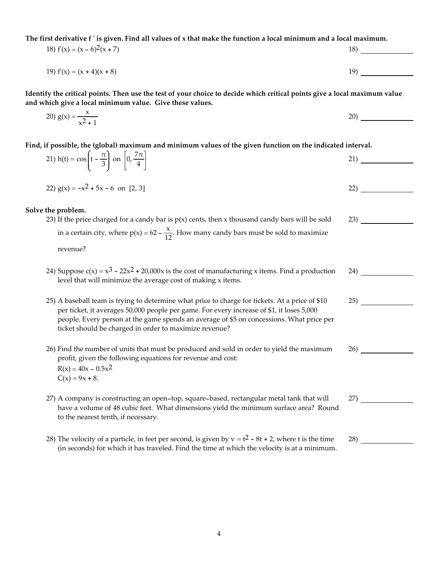The first derivative f'is given. Find all values of x that make the function a local minimum and a local maximum.

18)  $f'(x) = (x - 6)^2(x + 7)$  18) 19)  $f'(x) = (x + 4)(x + 8)$  19)  $(19)$ 

Identify the critical points. Then use the test of your choice to decide which critical points give a local maximum value **and which give a local minimum value. Give these values.**

20) 
$$
g(x) = \frac{x}{x^2 + 1}
$$

Find, if possible, the (global) maximum and minimum values of the given function on the indicated interval.

| 21) h(t) = $\cos\left(t - \frac{\pi}{3}\right)$ on $\left 0, \frac{7\pi}{4}\right $                                                                                                                                                                                                                                                                | 21) |
|----------------------------------------------------------------------------------------------------------------------------------------------------------------------------------------------------------------------------------------------------------------------------------------------------------------------------------------------------|-----|
| 22) $g(x) = -x^2 + 5x - 6$ on [2, 3]                                                                                                                                                                                                                                                                                                               | 22) |
| Solve the problem.                                                                                                                                                                                                                                                                                                                                 |     |
| 23) If the price charged for a candy bar is $p(x)$ cents, then x thousand candy bars will be sold                                                                                                                                                                                                                                                  | 23) |
| in a certain city, where $p(x) = 62 - \frac{x}{12}$ . How many candy bars must be sold to maximize                                                                                                                                                                                                                                                 |     |
| revenue?                                                                                                                                                                                                                                                                                                                                           |     |
| 24) Suppose $c(x) = x^3 - 22x^2 + 20,000x$ is the cost of manufacturing x items. Find a production<br>level that will minimize the average cost of making x items.                                                                                                                                                                                 | 24) |
| 25) A baseball team is trying to determine what price to charge for tickets. At a price of \$10<br>per ticket, it averages 50,000 people per game. For every increase of \$1, it loses 5,000<br>people. Every person at the game spends an average of \$5 on concessions. What price per<br>ticket should be charged in order to maximize revenue? | 25) |
| 26) Find the number of units that must be produced and sold in order to yield the maximum<br>profit, given the following equations for revenue and cost:<br>$R(x) = 40x - 0.5x^2$<br>$C(x) = 9x + 8.$                                                                                                                                              | 26) |
| 27) A company is constructing an open-top, square-based, rectangular metal tank that will<br>have a volume of 48 cubic feet. What dimensions yield the minimum surface area? Round<br>to the nearest tenth, if necessary.                                                                                                                          | 27) |

28) The velocity of a particle, in feet per second, is given by  $v = t^2 - 8t + 2$ , where t is the time (in seconds) for which it has traveled. Find the time at which the velocity is at a minimum.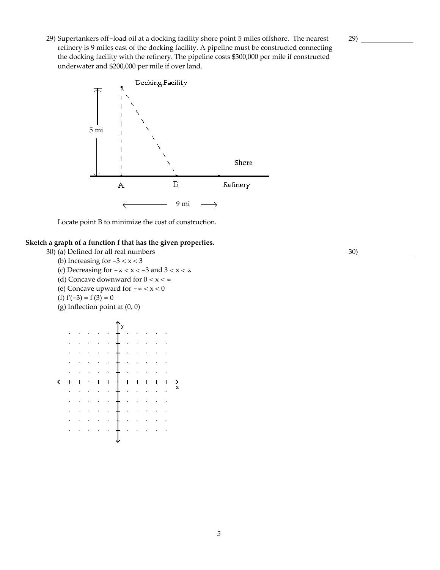29) Supertankers off-load oil at a docking facility shore point 5 miles offshore. The nearest refinery is 9 miles east of the docking facility. A pipeline must be constructed connecting the docking facility with the refinery. The pipeline costs \$300,000 per mile if constructed underwater and \$200,000 per mile if over land.



Locate point B to minimize the cost of construction.

#### **Sketch a graph of a function f that has the given properties.**

- 30) (a) Defined for all real numbers
	- (b) Increasing for  $-3 < x < 3$
	- (c) Decreasing for -∞ < x < -3 and 3 < x < ∞
	- (d) Concave downward for  $0 < x < \infty$
	- (e) Concave upward for  $-\infty < x < 0$

$$
(f) f'(-3) = f'(3) = 0
$$

(g) Inflection point at (0, 0)

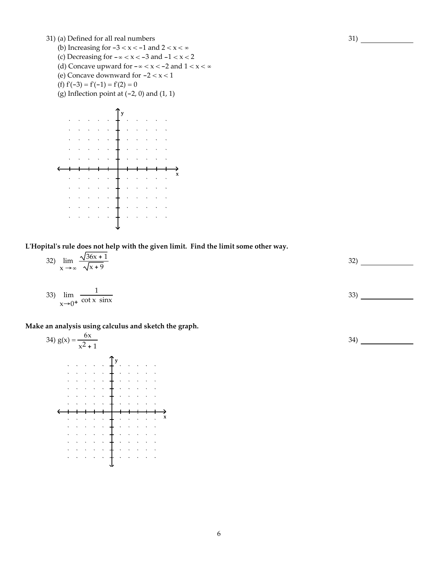31) (a) Defined for all real numbers

- (b) Increasing for  $-3 < x < -1$  and  $2 < x < \infty$
- (c) Decreasing for  $-\infty < x < -3$  and  $-1 < x < 2$
- (d) Concave upward for  $-\infty < x < -2$  and  $1 < x < \infty$
- (e) Concave downward for  $-2 < x < 1$
- (f)  $f'(-3) = f'(-1) = f'(2) = 0$
- (g) Inflection point at  $(-2, 0)$  and  $(1, 1)$



**LʹHopitalʹs rule does not help with the given limit. Find the limit some other way.**

| 32) $\lim_{x \to \infty} \frac{\sqrt{36x + 1}}{\sqrt{x + 9}}$ | ົ<br>ےر |  |
|---------------------------------------------------------------|---------|--|
|                                                               |         |  |

$$
\lim_{x \to 0^+} \frac{1}{\cot x \sin x} \tag{33}
$$

**Make an analysis using calculus and sketch the graph.**

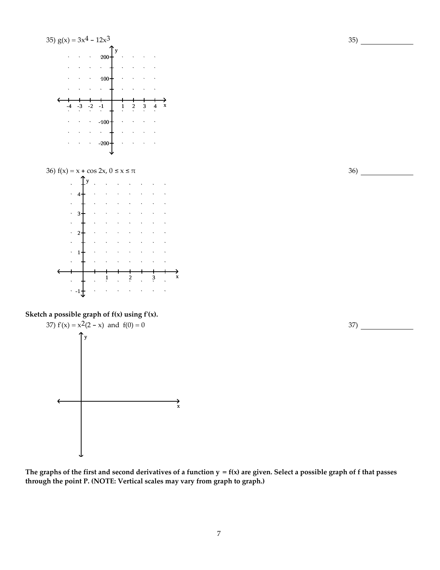

The graphs of the first and second derivatives of a function  $y = f(x)$  are given. Select a possible graph of f that passes **through the point P. (NOTE: Vertical scales may vary from graph to graph.)**

36)

37)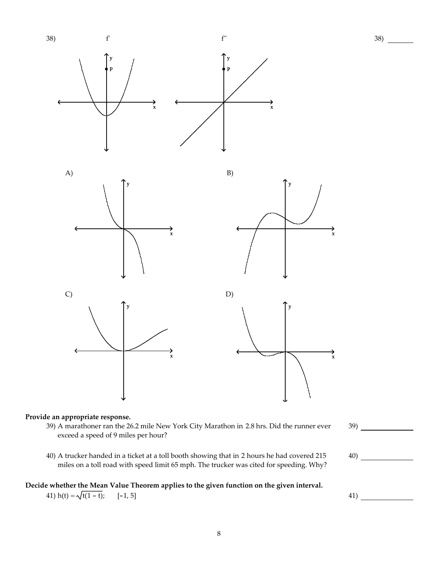

#### **Provide an appropriate response.**

- 39) A marathoner ran the 26.2 mile New York City Marathon in 2.8 hrs. Did the runner ever exceed a speed of 9 miles per hour?
- 40) A trucker handed in a ticket at a toll booth showing that in 2 hours he had covered 215 miles on a toll road with speed limit 65 mph. The trucker was cited for speeding. Why?

#### **Decide whether the Mean Value Theorem applies to the given function on the given interval.**

41) h(t) =  $\sqrt{t(1 - t)}$ ; [-1, 5] 41)

40)

39)

38)

8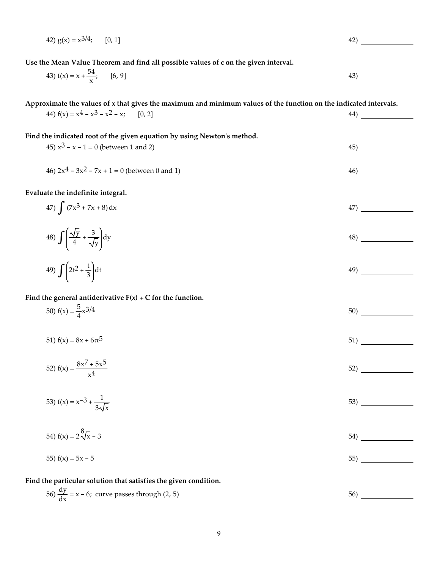42) 
$$
g(x) = x^{3/4}
$$
; [0, 1]

**Use the Mean Value Theorem and find all possible values of c on the given interval.**

43) 
$$
f(x) = x + \frac{54}{x}
$$
; [6, 9]

Approximate the values of x that gives the maximum and minimum values of the function on the indicated intervals.

| $\frac{1}{2}$<br>44) $f(x) = x^4 - x^3 - x^2 - x$ ; [0, 2]                                                         | 44) |  |
|--------------------------------------------------------------------------------------------------------------------|-----|--|
| Find the indicated root of the given equation by using Newton's method.<br>45) $x^3 - x - 1 = 0$ (between 1 and 2) | 45) |  |
| 46) $2x^4 - 3x^2 - 7x + 1 = 0$ (between 0 and 1)                                                                   | 46) |  |
| Evaluate the indefinite integral.                                                                                  |     |  |
| 47) $\int (7x^3 + 7x + 8) dx$                                                                                      | 47) |  |
| 48) $\int \left( \frac{\sqrt{y}}{4} + \frac{3}{\sqrt{y}} \right) dy$                                               | 48) |  |
| 49) $\int \left[2t^2 + \frac{t}{3}\right] dt$                                                                      | 49) |  |
| Find the general antiderivative $F(x) + C$ for the function.                                                       |     |  |
| 50) $f(x) = \frac{5}{4}x^{3/4}$                                                                                    | 50) |  |

51)  $f(x) = 8x + 6\pi^5$  51)

52) 
$$
f(x) = \frac{8x^7 + 5x^5}{x^4}
$$

53) 
$$
f(x) = x^{-3} + \frac{1}{3\sqrt{x}}
$$

54) 
$$
f(x) = 2\sqrt[8]{x} - 3
$$

$$
55) f(x) = 5x - 5
$$

**Find the particular solution that satisfies the given condition.**

$$
\frac{dy}{dx} = x - 6; \text{ curve passes through } (2, 5)
$$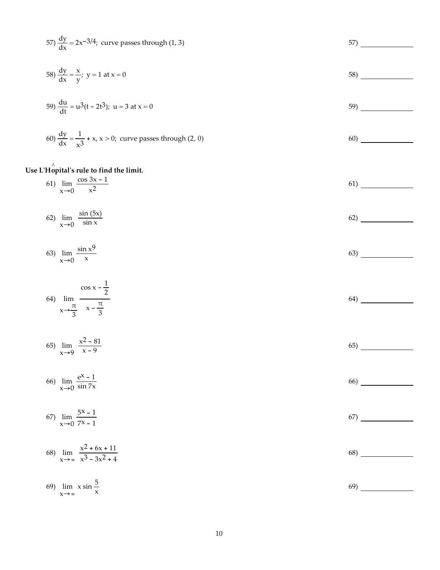57) 
$$
\frac{dy}{dx} = 2x^{-3/4}
$$
; curve passes through (1, 3)  
\n58)  $\frac{dy}{dx} = \frac{x}{y}$ ;  $y = 1$  at  $x = 0$   
\n59)  $\frac{du}{dt} = u^3(t - 2t^3)$ ;  $u = 3$  at  $x = 0$   
\n59)  $\frac{dy}{dx} = \frac{1}{x^3} + x$ ,  $x > 0$ ; curve passes through (2, 0)  
\n60)  $\frac{dy}{dx} = \frac{1}{x^3} + x$ ,  $x > 0$ ; curve passes through (2, 0)

## **Use <sup>L</sup>ʹHo**^ **pitalʹs rule to find the limit.**

61) 
$$
\lim_{x \to 0} \frac{\cos 3x - 1}{x^2}
$$

$$
62) \lim_{x \to 0} \frac{\sin(5x)}{\sin x} \tag{62}
$$

$$
\lim_{x \to 0} \frac{\sin x^9}{x} \tag{63}
$$

64) 
$$
\lim_{x \to \frac{\pi}{3}} \frac{\cos x - \frac{1}{2}}{x - \frac{\pi}{3}}
$$

$$
\lim_{x \to 9} \frac{x^2 - 81}{x - 9} \tag{65}
$$

$$
\lim_{x \to 0} \frac{e^{x} - 1}{\sin 7x} \tag{66}
$$

67) 
$$
\lim_{x \to 0} \frac{5x - 1}{7x - 1}
$$

68) 
$$
\lim_{x \to \infty} \frac{x^2 + 6x + 11}{x^3 - 3x^2 + 4}
$$

64)

| 69) $\lim x \sin \frac{3}{x}$<br>$X \rightarrow \infty$ X | <sup>69</sup> |
|-----------------------------------------------------------|---------------|
|-----------------------------------------------------------|---------------|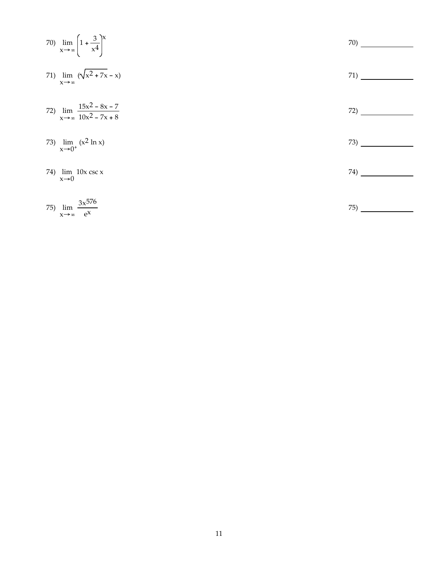|     | 70) $\lim_{x \to \infty} \left( 1 + \frac{3}{x^4} \right)^{x}$  | 70) |
|-----|-----------------------------------------------------------------|-----|
|     | 71) $\lim (x^2 + 7x - x)$<br>$x \rightarrow \infty$             | 71) |
|     | 72) $\lim_{x \to \infty} \frac{15x^2 - 8x - 7}{10x^2 - 7x + 8}$ | 72) |
|     | 73) $\lim_{x\to 0^+} (x^2 \ln x)$                               | 73) |
|     | 74) $\lim 10x \csc x$<br>$x\rightarrow 0$                       | 74) |
| 75) | $\lim_{x \to \infty} \frac{3x^{576}}{e^x}$                      | 75) |

x→∞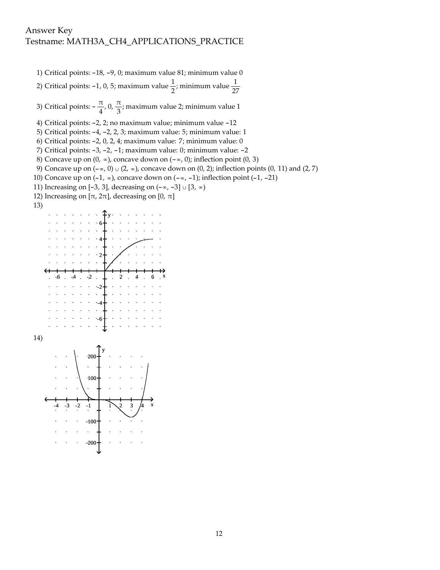1) Critical points: -18, -9, 0; maximum value 81; minimum value 0

2) Critical points: -1, 0, 5; maximum value  $\frac{1}{2}$ ; minimum value  $\frac{1}{27}$ 

3) Critical points:  $-\frac{\pi}{4}$ , 0,  $\frac{\pi}{3}$ ; maximum value 2; minimum value 1

5) Critical points: -4, -2, 2, 3; maximum value: 5; minimum value: 1

6) Critical points: -2, 0, 2, 4; maximum value: 7; minimum value: 0

7) Critical points: -3, -2, -1; maximum value: 0; minimum value: -2

8) Concave up on  $(0, \infty)$ , concave down on  $(-\infty, 0)$ ; inflection point  $(0, 3)$ 

9) Concave up on  $(-\infty, 0) \cup (2, \infty)$ , concave down on  $(0, 2)$ ; inflection points  $(0, 11)$  and  $(2, 7)$ 

- 10) Concave up on  $(-1, ∞)$ , concave down on  $(-∞, -1)$ ; inflection point  $(-1, -21)$
- 11) Increasing on [-3, 3], decreasing on (-∞, -3] ∪ [3, ∞)
- 12) Increasing on [ $π$ , 2 $π$ ], decreasing on [0,  $π$ ]









<sup>4)</sup> Critical points: -2, 2; no maximum value; minimum value -12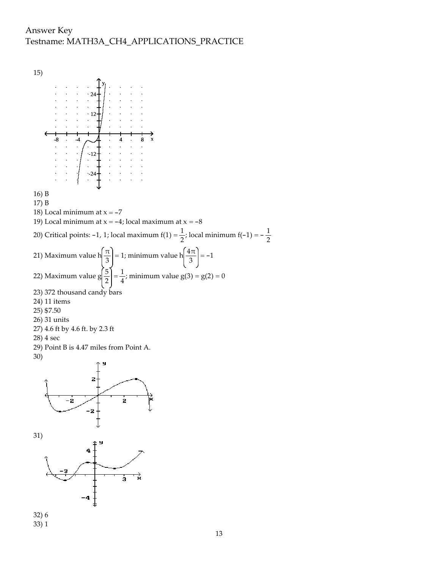### Answer Key Testname: MATH3A\_CH4\_APPLICATIONS\_PRACTICE



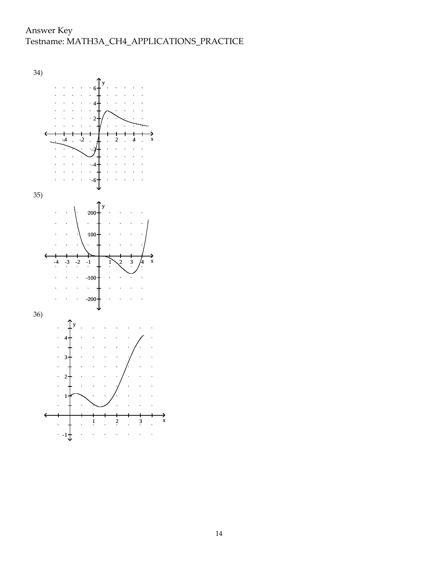Answer Key Testname: MATH3A\_CH4\_APPLICATIONS\_PRACTICE

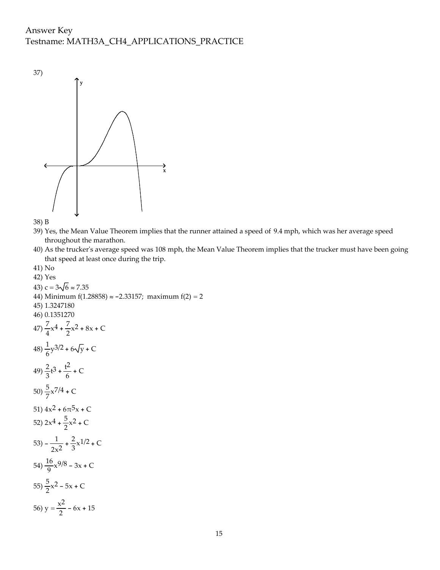## Answer Key Testname: MATH3A\_CH4\_APPLICATIONS\_PRACTICE





- 39) Yes, the Mean Value Theorem implies that the runner attained a speed of 9.4 mph, which was her average speed throughout the marathon.
- 40) As the truckerʹs average speed was 108 mph, the Mean Value Theorem implies that the trucker must have been going that speed at least once during the trip.
- 41) No

42) Yes 43)  $c = 3\sqrt{6} \approx 7.35$ 44) Minimum f(1.28858)  $\approx$  -2.33157; maximum f(2) = 2 45) 1.3247180 46) 0.1351270  $47) \frac{7}{4}x^4 + \frac{7}{2}x^2 + 8x + C$  $48) \frac{1}{6}y^{3/2} + 6\sqrt{y} + C$  $(49)\frac{2}{3}t^3 + \frac{t^2}{6} + C$ 50)  $\frac{5}{7}x^{7/4}$  + C 51)  $4x^2 + 6\pi^5x + C$ 52)  $2x^4 + \frac{5}{2}x^2 + C$ 53)  $-\frac{1}{2x^2} + \frac{2}{3}x^{1/2} + C$ 54)  $\frac{16}{9}x^{9/8} - 3x + C$ 55)  $\frac{5}{2}x^2 - 5x + C$ 56)  $y = \frac{x^2}{2} - 6x + 15$